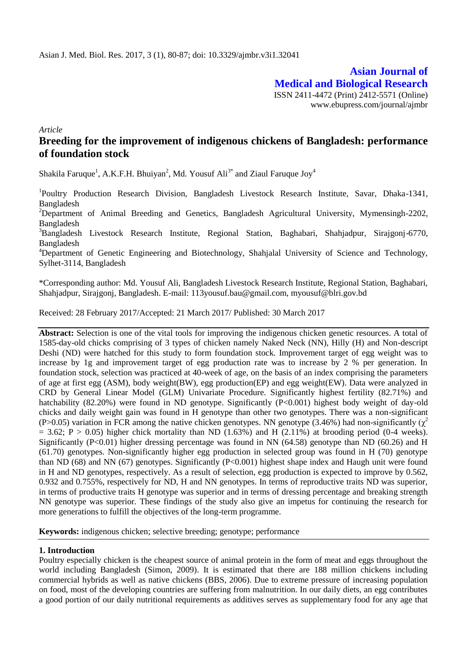**Asian Journal of Medical and Biological Research** ISSN 2411-4472 (Print) 2412-5571 (Online) www.ebupress.com/journal/ajmbr

*Article*

# **Breeding for the improvement of indigenous chickens of Bangladesh: performance of foundation stock**

Shakila Faruque<sup>1</sup>, A.K.F.H. Bhuiyan<sup>2</sup>, Md. Yousuf Ali<sup>3\*</sup> and Ziaul Faruque Joy<sup>4</sup>

<sup>1</sup>Poultry Production Research Division, Bangladesh Livestock Research Institute, Savar, Dhaka-1341, Bangladesh

<sup>2</sup>Department of Animal Breeding and Genetics, Bangladesh Agricultural University, Mymensingh-2202, Bangladesh

<sup>3</sup>Bangladesh Livestock Research Institute, Regional Station, Baghabari, Shahjadpur, Sirajgonj-6770, Bangladesh

<sup>4</sup>Department of Genetic Engineering and Biotechnology, Shahjalal University of Science and Technology, Sylhet-3114, Bangladesh

\*Corresponding author: Md. Yousuf Ali, Bangladesh Livestock Research Institute, Regional Station, Baghabari, Shahjadpur, Sirajgonj, Bangladesh. E-mail: 113yousuf.bau@gmail.com, myousuf@blri.gov.bd

Received: 28 February 2017/Accepted: 21 March 2017/ Published: 30 March 2017

**Abstract:** Selection is one of the vital tools for improving the indigenous chicken genetic resources. A total of 1585-day-old chicks comprising of 3 types of chicken namely Naked Neck (NN), Hilly (H) and Non-descript Deshi (ND) were hatched for this study to form foundation stock. Improvement target of egg weight was to increase by 1g and improvement target of egg production rate was to increase by 2 % per generation. In foundation stock, selection was practiced at 40-week of age, on the basis of an index comprising the parameters of age at first egg (ASM), body weight(BW), egg production(EP) and egg weight(EW). Data were analyzed in CRD by General Linear Model (GLM) Univariate Procedure. Significantly highest fertility (82.71%) and hatchability (82.20%) were found in ND genotype. Significantly (P<0.001) highest body weight of day-old chicks and daily weight gain was found in H genotype than other two genotypes. There was a non-significant (P>0.05) variation in FCR among the native chicken genotypes. NN genotype (3.46%) had non-significantly ( $\chi^2$  $= 3.62$ ; P  $> 0.05$ ) higher chick mortality than ND (1.63%) and H (2.11%) at brooding period (0-4 weeks). Significantly (P<0.01) higher dressing percentage was found in NN  $(64.58)$  genotype than ND (60.26) and H (61.70) genotypes. Non-significantly higher egg production in selected group was found in H (70) genotype than ND (68) and NN (67) genotypes. Significantly (P<0.001) highest shape index and Haugh unit were found in H and ND genotypes, respectively. As a result of selection, egg production is expected to improve by 0.562, 0.932 and 0.755%, respectively for ND, H and NN genotypes. In terms of reproductive traits ND was superior, in terms of productive traits H genotype was superior and in terms of dressing percentage and breaking strength NN genotype was superior. These findings of the study also give an impetus for continuing the research for more generations to fulfill the objectives of the long-term programme.

**Keywords:** indigenous chicken; selective breeding; genotype; performance

### **1. Introduction**

Poultry especially chicken is the cheapest source of animal protein in the form of meat and eggs throughout the world including Bangladesh (Simon, 2009). It is estimated that there are 188 million chickens including commercial hybrids as well as native chickens (BBS, 2006). Due to extreme pressure of increasing population on food, most of the developing countries are suffering from malnutrition. In our daily diets, an egg contributes a good portion of our daily nutritional requirements as additives serves as supplementary food for any age that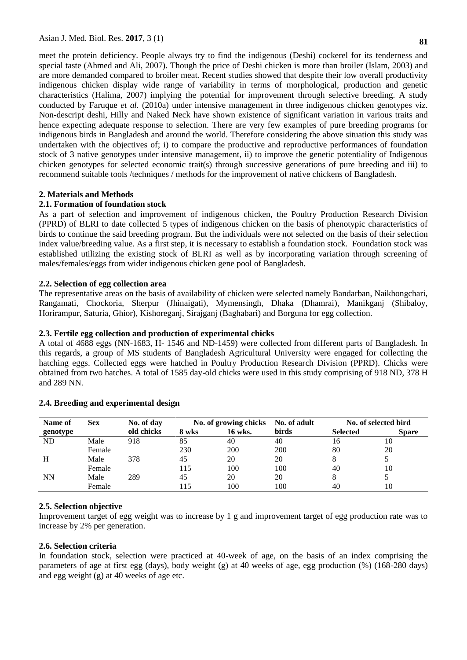**81**

meet the protein deficiency. People always try to find the indigenous (Deshi) cockerel for its tenderness and special taste (Ahmed and Ali, 2007). Though the price of Deshi chicken is more than broiler (Islam, 2003) and are more demanded compared to broiler meat. Recent studies showed that despite their low overall productivity indigenous chicken display wide range of variability in terms of morphological, production and genetic characteristics (Halima, 2007) implying the potential for improvement through selective breeding. A study conducted by Faruque *et al.* (2010a) under intensive management in three indigenous chicken genotypes viz. Non-descript deshi, Hilly and Naked Neck have shown existence of significant variation in various traits and hence expecting adequate response to selection. There are very few examples of pure breeding programs for indigenous birds in Bangladesh and around the world. Therefore considering the above situation this study was undertaken with the objectives of; i) to compare the productive and reproductive performances of foundation stock of 3 native genotypes under intensive management, ii) to improve the genetic potentiality of Indigenous chicken genotypes for selected economic trait(s) through successive generations of pure breeding and iii) to recommend suitable tools /techniques / methods for the improvement of native chickens of Bangladesh.

# **2. Materials and Methods**

# **2.1. Formation of foundation stock**

As a part of selection and improvement of indigenous chicken, the Poultry Production Research Division (PPRD) of BLRI to date collected 5 types of indigenous chicken on the basis of phenotypic characteristics of birds to continue the said breeding program. But the individuals were not selected on the basis of their selection index value/breeding value. As a first step, it is necessary to establish a foundation stock. Foundation stock was established utilizing the existing stock of BLRI as well as by incorporating variation through screening of males/females/eggs from wider indigenous chicken gene pool of Bangladesh.

# **2.2. Selection of egg collection area**

The representative areas on the basis of availability of chicken were selected namely Bandarban, Naikhongchari, Rangamati, Chockoria, Sherpur (Jhinaigati), Mymensingh, Dhaka (Dhamrai), Manikganj (Shibaloy, Horirampur, Saturia, Ghior), Kishoreganj, Sirajganj (Baghabari) and Borguna for egg collection.

# **2.3. Fertile egg collection and production of experimental chicks**

A total of 4688 eggs (NN-1683, H- 1546 and ND-1459) were collected from different parts of Bangladesh. In this regards, a group of MS students of Bangladesh Agricultural University were engaged for collecting the hatching eggs. Collected eggs were hatched in Poultry Production Research Division (PPRD). Chicks were obtained from two hatches. A total of 1585 day-old chicks were used in this study comprising of 918 ND, 378 H and 289 NN.

| Name of   | <b>Sex</b> | No. of day | No. of growing chicks |         | No. of adult |                 | No. of selected bird |
|-----------|------------|------------|-----------------------|---------|--------------|-----------------|----------------------|
| genotype  |            | old chicks | 8 wks                 | 16 wks. | birds        | <b>Selected</b> | <b>Spare</b>         |
| ND        | Male       | 918        | 85                    | 40      | 40           | 16              | 10                   |
|           | Female     |            | 230                   | 200     | 200          | 80              | 20                   |
| H         | Male       | 378        | 45                    | 20      | 20           | ◠               |                      |
|           | Female     |            | 115                   | 100     | 100          | 40              | 10                   |
| <b>NN</b> | Male       | 289        | 45                    | 20      | 20           | Ω               |                      |
|           | Female     |            | 115                   | 100     | 100          | 40              | 10                   |

# **2.4. Breeding and experimental design**

# **2.5. Selection objective**

Improvement target of egg weight was to increase by 1 g and improvement target of egg production rate was to increase by 2% per generation.

# **2.6. Selection criteria**

In foundation stock, selection were practiced at 40-week of age, on the basis of an index comprising the parameters of age at first egg (days), body weight (g) at 40 weeks of age, egg production (%) (168-280 days) and egg weight (g) at 40 weeks of age etc.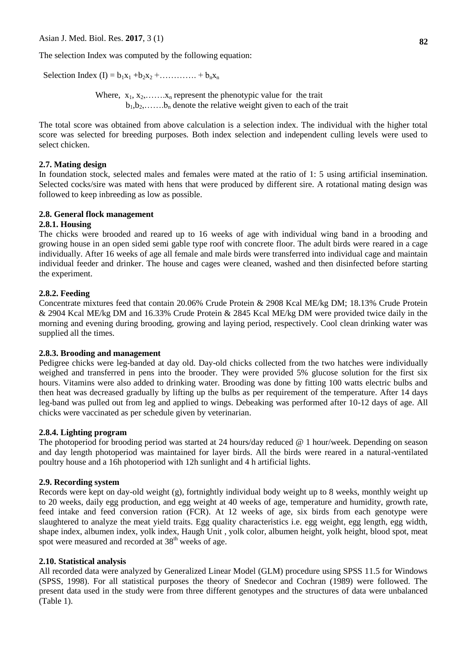Asian J. Med. Biol. Res. **2017**, 3 (1)

The selection Index was computed by the following equation:

Selection Index (I) =  $b_1x_1 + b_2x_2 + \dots + b_nx_n$ 

Where,  $x_1, x_2, \ldots, x_n$  represent the phenotypic value for the trait  $b_1, b_2, \ldots, b_n$  denote the relative weight given to each of the trait

The total score was obtained from above calculation is a selection index. The individual with the higher total score was selected for breeding purposes. Both index selection and independent culling levels were used to select chicken.

### **2.7. Mating design**

In foundation stock, selected males and females were mated at the ratio of 1: 5 using artificial insemination. Selected cocks/sire was mated with hens that were produced by different sire. A rotational mating design was followed to keep inbreeding as low as possible.

### **2.8. General flock management**

# **2.8.1. Housing**

The chicks were brooded and reared up to 16 weeks of age with individual wing band in a brooding and growing house in an open sided semi gable type roof with concrete floor. The adult birds were reared in a cage individually. After 16 weeks of age all female and male birds were transferred into individual cage and maintain individual feeder and drinker. The house and cages were cleaned, washed and then disinfected before starting the experiment.

# **2.8.2. Feeding**

Concentrate mixtures feed that contain 20.06% Crude Protein & 2908 Kcal ME/kg DM; 18.13% Crude Protein & 2904 Kcal ME/kg DM and 16.33% Crude Protein & 2845 Kcal ME/kg DM were provided twice daily in the morning and evening during brooding, growing and laying period, respectively. Cool clean drinking water was supplied all the times.

### **2.8.3. Brooding and management**

Pedigree chicks were leg-banded at day old. Day-old chicks collected from the two hatches were individually weighed and transferred in pens into the brooder. They were provided 5% glucose solution for the first six hours. Vitamins were also added to drinking water. Brooding was done by fitting 100 watts electric bulbs and then heat was decreased gradually by lifting up the bulbs as per requirement of the temperature. After 14 days leg-band was pulled out from leg and applied to wings. Debeaking was performed after 10-12 days of age. All chicks were vaccinated as per schedule given by veterinarian.

## **2.8.4. Lighting program**

The photoperiod for brooding period was started at 24 hours/day reduced @ 1 hour/week. Depending on season and day length photoperiod was maintained for layer birds. All the birds were reared in a natural-ventilated poultry house and a 16h photoperiod with 12h sunlight and 4 h artificial lights.

### **2.9. Recording system**

Records were kept on day-old weight (g), fortnightly individual body weight up to 8 weeks, monthly weight up to 20 weeks, daily egg production, and egg weight at 40 weeks of age, temperature and humidity, growth rate, feed intake and feed conversion ration (FCR). At 12 weeks of age, six birds from each genotype were slaughtered to analyze the meat yield traits. Egg quality characteristics i.e. egg weight, egg length, egg width, shape index, albumen index, yolk index, Haugh Unit , yolk color, albumen height, yolk height, blood spot, meat spot were measured and recorded at  $38<sup>th</sup>$  weeks of age.

### **2.10. Statistical analysis**

All recorded data were analyzed by Generalized Linear Model (GLM) procedure using SPSS 11.5 for Windows (SPSS, 1998). For all statistical purposes the theory of Snedecor and Cochran (1989) were followed. The present data used in the study were from three different genotypes and the structures of data were unbalanced (Table 1).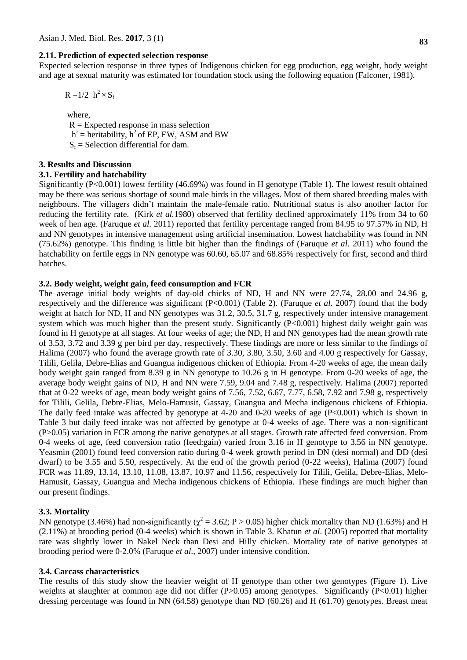#### **2.11. Prediction of expected selection response**

Expected selection response in three types of Indigenous chicken for egg production, egg weight, body weight and age at sexual maturity was estimated for foundation stock using the following equation (Falconer, 1981).

$$
R = 1/2 h^2 \times S_f
$$

where,

 $R =$  Expected response in mass selection  $h^2$  = heritability,  $h^2$  of EP, EW, ASM and BW  $S_f$  = Selection differential for dam.

#### **3. Results and Discussion**

#### **3.1. Fertility and hatchability**

Significantly (P<0.001) lowest fertility (46.69%) was found in H genotype (Table 1). The lowest result obtained may be there was serious shortage of sound male birds in the villages. Most of them shared breeding males with neighbours. The villagers didn't maintain the male-female ratio. Nutritional status is also another factor for reducing the fertility rate. (Kirk *et al.*1980) observed that fertility declined approximately 11% from 34 to 60 week of hen age. (Faruque *et al.* 2011) reported that fertility percentage ranged from 84.95 to 97.57% in ND, H and NN genotypes in intensive management using artificial insemination. Lowest hatchability was found in NN (75.62%) genotype. This finding is little bit higher than the findings of (Faruque *et al*. 2011) who found the hatchability on fertile eggs in NN genotype was 60.60, 65.07 and 68.85% respectively for first, second and third batches.

### **3.2. Body weight, weight gain, feed consumption and FCR**

The average initial body weights of day-old chicks of ND, H and NN were 27.74, 28.00 and 24.96 g, respectively and the difference was significant (P<0.001) (Table 2). (Faruque *et al.* 2007) found that the body weight at hatch for ND, H and NN genotypes was 31.2, 30.5, 31.7 g, respectively under intensive management system which was much higher than the present study. Significantly (P<0.001) highest daily weight gain was found in H genotype at all stages. At four weeks of age; the ND, H and NN genotypes had the mean growth rate of 3.53, 3.72 and 3.39 g per bird per day, respectively. These findings are more or less similar to the findings of Halima (2007) who found the average growth rate of 3.30, 3.80, 3.50, 3.60 and 4.00 g respectively for Gassay, Tilili, Gelila, Debre-Elias and Guangua indigenous chicken of Ethiopia. From 4-20 weeks of age, the mean daily body weight gain ranged from 8.39 g in NN genotype to 10.26 g in H genotype. From 0-20 weeks of age, the average body weight gains of ND, H and NN were 7.59, 9.04 and 7.48 g, respectively. Halima (2007) reported that at 0-22 weeks of age, mean body weight gains of 7.56, 7.52, 6.67, 7.77, 6.58, 7.92 and 7.98 g, respectively for Tilili, Gelila, Debre-Elias, Melo-Hamusit, Gassay, Guangua and Mecha indigenous chickens of Ethiopia. The daily feed intake was affected by genotype at 4-20 and 0-20 weeks of age  $(P<0.001)$  which is shown in Table 3 but daily feed intake was not affected by genotype at 0-4 weeks of age. There was a non-significant (P>0.05) variation in FCR among the native genotypes at all stages. Growth rate affected feed conversion. From 0-4 weeks of age, feed conversion ratio (feed:gain) varied from 3.16 in H genotype to 3.56 in NN genotype. Yeasmin (2001) found feed conversion ratio during 0-4 week growth period in DN (desi normal) and DD (desi dwarf) to be 3.55 and 5.50, respectively. At the end of the growth period (0-22 weeks), Halima (2007) found FCR was 11.89, 13.14, 13.10, 11.08, 13.87, 10.97 and 11.56, respectively for Tilili, Gelila, Debre-Elias, Melo-Hamusit, Gassay, Guangua and Mecha indigenous chickens of Ethiopia. These findings are much higher than our present findings.

#### **3.3. Mortality**

NN genotype (3.46%) had non-significantly ( $\chi^2$  = 3.62; P > 0.05) higher chick mortality than ND (1.63%) and H (2.11%) at brooding period (0-4 weeks) which is shown in Table 3. Khatun *et al*. (2005) reported that mortality rate was slightly lower in Nakel Neck than Desi and Hilly chicken. Mortality rate of native genotypes at brooding period were 0-2.0% (Faruque *et al*., 2007) under intensive condition.

#### **3.4. Carcass characteristics**

The results of this study show the heavier weight of H genotype than other two genotypes (Figure 1). Live weights at slaughter at common age did not differ (P>0.05) among genotypes. Significantly (P<0.01) higher dressing percentage was found in NN (64.58) genotype than ND (60.26) and H (61.70) genotypes. Breast meat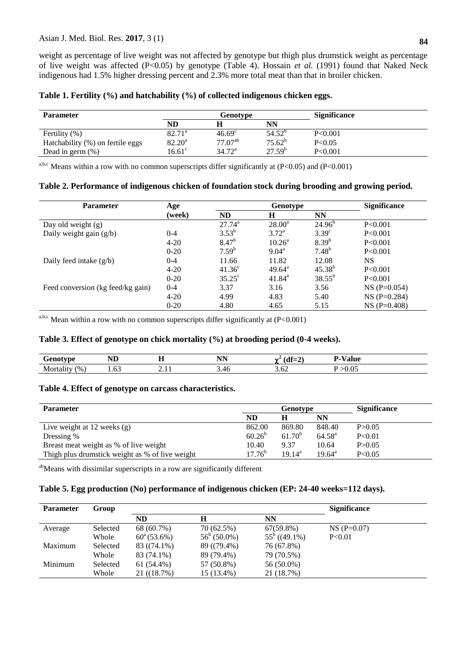weight as percentage of live weight was not affected by genotype but thigh plus drumstick weight as percentage of live weight was affected (P<0.05) by genotype (Table 4). Hossain *et al.* (1991) found that Naked Neck indigenous had 1.5% higher dressing percent and 2.3% more total meat than that in broiler chicken.

|  |  |  | Table 1. Fertility (%) and hatchability (%) of collected indigenous chicken eggs. |
|--|--|--|-----------------------------------------------------------------------------------|
|  |  |  |                                                                                   |

| <b>Parameter</b>                 | Genotype         |                 |                 | <b>Significance</b> |  |
|----------------------------------|------------------|-----------------|-----------------|---------------------|--|
|                                  | ND               |                 | NN              |                     |  |
| Fertility $(\%)$                 | $82.71^{\circ}$  | $46.69^{\circ}$ | $54.52^{\circ}$ | P<0.001             |  |
| Hatchability (%) on fertile eggs | $82.20^{\rm a}$  | $77.07^{ab}$    | $75.62^b$       | P<0.05              |  |
| Dead in germ $(\%)$              | 16.61 $^{\circ}$ | $34.72^a$       | $27.59^{b}$     | P<0.001             |  |

a,b,c Means within a row with no common superscripts differ significantly at  $(P<0.05)$  and  $(P<0.001)$ 

### **Table 2. Performance of indigenous chicken of foundation stock during brooding and growing period.**

| <b>Parameter</b>                  | Age      |                 | Genotype           | <b>Significance</b> |               |
|-----------------------------------|----------|-----------------|--------------------|---------------------|---------------|
|                                   | (week)   | <b>ND</b>       | H                  | <b>NN</b>           |               |
| Day old weight $(g)$              |          | $27.74^{a}$     | $28.00^a$          | $24.96^b$           | P<0.001       |
| Daily weight gain $(g/b)$         | $0 - 4$  | $3.53^{b}$      | $3.72^{\rm a}$     | 3.39 <sup>c</sup>   | P<0.001       |
|                                   | $4 - 20$ | $8.47^{b}$      | $10.26^{\circ}$    | $8.39^{b}$          | P<0.001       |
|                                   | $0 - 20$ | $7.59^{b}$      | $9.04^{\text{a}}$  | $7.48^{b}$          | P<0.001       |
| Daily feed intake $(g/b)$         | $0 - 4$  | 11.66           | 11.82              | 12.08               | NS.           |
|                                   | $4 - 20$ | $41.36^{\circ}$ | $49.64^{\text{a}}$ | $45.38^{b}$         | P<0.001       |
|                                   | $0 - 20$ | $35.25^{\circ}$ | $41.84^{\circ}$    | $38.55^{b}$         | P<0.001       |
| Feed conversion (kg feed/kg gain) | $0 - 4$  | 3.37            | 3.16               | 3.56                | $NS(P=0.054)$ |
|                                   | $4 - 20$ | 4.99            | 4.83               | 5.40                | $NS(P=0.284)$ |
|                                   | $0 - 20$ | 4.80            | 4.65               | 5.15                | $NS(P=0.408)$ |

a,b,c Mean within a row with no common superscripts differ significantly at  $(P<0.001)$ 

# **Table 3. Effect of genotype on chick mortality (%) at brooding period (0-4 weeks).**

| $\sim$<br>$\cdots$ where $\sim$<br>$\cdot$ | $-$<br>$\mathbf{1}$ | --<br>.                                    | <b>NIN</b><br>TAT A | . .                  | $- - - -$          |
|--------------------------------------------|---------------------|--------------------------------------------|---------------------|----------------------|--------------------|
| $^{6}$ %<br>NЛ                             | $\sim$<br>1.03      | . .<br>the contract of the contract of the | $\sim\cdot$ .       | $\cdot$<br>$- - - -$ | .v.<br>- - - - - - |

# **Table 4. Effect of genotype on carcass characteristics.**

| <b>Parameter</b>                                | Genotype    |                 |                 | <b>Significance</b> |
|-------------------------------------------------|-------------|-----------------|-----------------|---------------------|
|                                                 | ND          |                 | NN              |                     |
| Live weight at $12$ weeks $(g)$                 | 862.00      | 869.80          | 848.40          | P > 0.05            |
| Dressing %                                      | $60.26^{b}$ | $61.70^{b}$     | $64.58^{\rm a}$ | P<0.01              |
| Breast meat weight as % of live weight          | 10.40       | 9.37            | 10.64           | P > 0.05            |
| Thigh plus drumstick weight as % of live weight | $17.76^{b}$ | $19.14^{\rm a}$ | $19.64^{\rm a}$ | P<0.05              |

abMeans with dissimilar superscripts in a row are significantly different

## **Table 5. Egg production (No) performance of indigenous chicken (EP: 24-40 weeks=112 days).**

| <b>Parameter</b> | Group    |                      |                       |                 | <b>Significance</b> |  |
|------------------|----------|----------------------|-----------------------|-----------------|---------------------|--|
|                  |          | ND                   | H                     | NN              |                     |  |
| Average          | Selected | 68 (60.7%)           | 70 (62.5%)            | $67(59.8\%)$    | $NS(P=0.07)$        |  |
|                  | Whole    | $60^{\circ}$ (53.6%) | $56^{\circ} (50.0\%)$ | $55^b$ ((49.1%) | P< 0.01             |  |
| Maximum          | Selected | 83 ((74.1%)          | 89 ((79.4%)           | 76 (67.8%)      |                     |  |
|                  | Whole    | 83 (74.1%)           | 89 (79.4%)            | 79 (70.5%)      |                     |  |
| Minimum          | Selected | 61 (54.4%)           | 57 (50.8%)            | 56 (50.0%)      |                     |  |
|                  | Whole    | 21((18.7%)           | 15 (13.4%)            | 21 (18.7%)      |                     |  |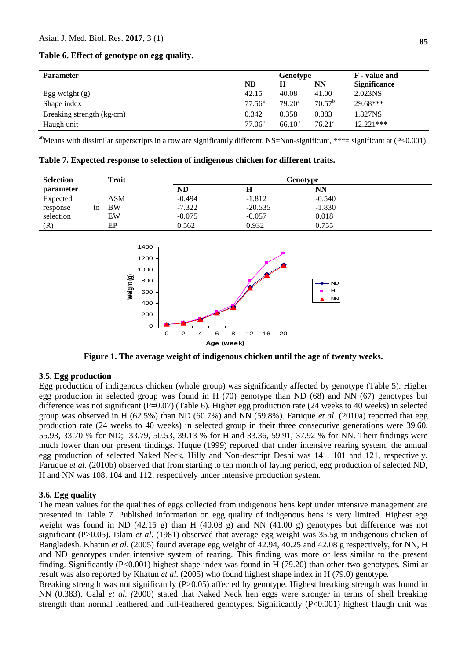**Table 6. Effect of genotype on egg quality.**

| <b>Parameter</b>          |           | Genotype        |                    | <b>F</b> - value and |
|---------------------------|-----------|-----------------|--------------------|----------------------|
|                           | ND        | H               | NN                 | <b>Significance</b>  |
| Egg weight $(g)$          | 42.15     | 40.08           | 41.00              | 2.023NS              |
| Shape index               | $77.56^a$ | $79.20^{\rm a}$ | $70.57^{\rm b}$    | $29.68***$           |
| Breaking strength (kg/cm) | 0.342     | 0.358           | 0.383              | 1.827NS              |
| Haugh unit                | $77.06^a$ | 66.10 $^{b}$    | 76.21 <sup>a</sup> | $12.221***$          |

<sup>ab</sup>Means with dissimilar superscripts in a row are significantly different. NS=Non-significant, \*\*\*= significant at  $(P<0.001)$ 

**Table 7. Expected response to selection of indigenous chicken for different traits.**

| <b>Selection</b> |    | Trait      | Genotype |           |          |  |  |  |
|------------------|----|------------|----------|-----------|----------|--|--|--|
| parameter        |    |            | ND       | Н         | NΝ       |  |  |  |
| Expected         |    | <b>ASM</b> | $-0.494$ | $-1.812$  | $-0.540$ |  |  |  |
| response         | to | <b>BW</b>  | $-7.322$ | $-20.535$ | $-1.830$ |  |  |  |
| selection        |    | EW         | $-0.075$ | $-0.057$  | 0.018    |  |  |  |
| (R)              |    | EP         | 0.562    | 0.932     | 0.755    |  |  |  |



**Figure 1. The average weight of indigenous chicken until the age of twenty weeks.**

#### **3.5. Egg production**

Egg production of indigenous chicken (whole group) was significantly affected by genotype (Table 5). Higher egg production in selected group was found in H (70) genotype than ND (68) and NN (67) genotypes but difference was not significant (P=0.07) (Table 6). Higher egg production rate (24 weeks to 40 weeks) in selected group was observed in H (62.5%) than ND (60.7%) and NN (59.8%). Faruque *et al.* (2010a) reported that egg production rate (24 weeks to 40 weeks) in selected group in their three consecutive generations were 39.60, 55.93, 33.70 % for ND; 33.79, 50.53, 39.13 % for H and 33.36, 59.91, 37.92 % for NN. Their findings were much lower than our present findings. Huque (1999) reported that under intensive rearing system, the annual egg production of selected Naked Neck, Hilly and Non-descript Deshi was 141, 101 and 121, respectively. Faruque *et al.* (2010b) observed that from starting to ten month of laying period, egg production of selected ND, H and NN was 108, 104 and 112, respectively under intensive production system.

### **3.6. Egg quality**

The mean values for the qualities of eggs collected from indigenous hens kept under intensive management are presented in Table 7. Published information on egg quality of indigenous hens is very limited. Highest egg weight was found in ND (42.15 g) than H (40.08 g) and NN (41.00 g) genotypes but difference was not significant (P>0.05). Islam *et al*. (1981) observed that average egg weight was 35.5g in indigenous chicken of Bangladesh. Khatun *et al*. (2005) found average egg weight of 42.94, 40.25 and 42.08 g respectively, for NN, H and ND genotypes under intensive system of rearing. This finding was more or less similar to the present finding. Significantly (P<0.001) highest shape index was found in H (79.20) than other two genotypes. Similar result was also reported by Khatun *et al.* (2005) who found highest shape index in H (79.0) genotype.

Breaking strength was not significantly (P>0.05) affected by genotype. Highest breaking strength was found in NN (0.383). Galal *et al. (*2000) stated that Naked Neck hen eggs were stronger in terms of shell breaking strength than normal feathered and full-feathered genotypes. Significantly (P<0.001) highest Haugh unit was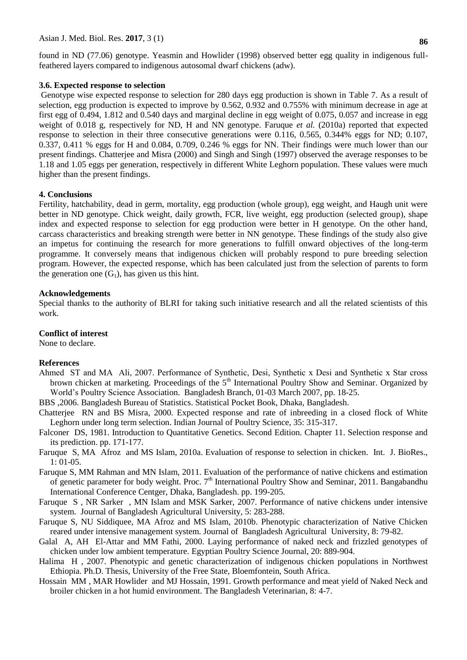#### Asian J. Med. Biol. Res. **2017**, 3 (1)

found in ND (77.06) genotype. Yeasmin and Howlider (1998) observed better egg quality in indigenous fullfeathered layers compared to indigenous autosomal dwarf chickens (adw).

#### **3.6. Expected response to selection**

Genotype wise expected response to selection for 280 days egg production is shown in Table 7. As a result of selection, egg production is expected to improve by 0.562, 0.932 and 0.755% with minimum decrease in age at first egg of 0.494, 1.812 and 0.540 days and marginal decline in egg weight of 0.075, 0.057 and increase in egg weight of 0.018 g, respectively for ND, H and NN genotype. Faruque *et al.* (2010a) reported that expected response to selection in their three consecutive generations were 0.116, 0.565, 0.344% eggs for ND; 0.107, 0.337, 0.411 % eggs for H and 0.084, 0.709, 0.246 % eggs for NN. Their findings were much lower than our present findings. Chatterjee and Misra (2000) and Singh and Singh (1997) observed the average responses to be 1.18 and 1.05 eggs per generation, respectively in different White Leghorn population. These values were much higher than the present findings.

#### **4. Conclusions**

Fertility, hatchability, dead in germ, mortality, egg production (whole group), egg weight, and Haugh unit were better in ND genotype. Chick weight, daily growth, FCR, live weight, egg production (selected group), shape index and expected response to selection for egg production were better in H genotype. On the other hand, carcass characteristics and breaking strength were better in NN genotype. These findings of the study also give an impetus for continuing the research for more generations to fulfill onward objectives of the long-term programme. It conversely means that indigenous chicken will probably respond to pure breeding selection program. However, the expected response, which has been calculated just from the selection of parents to form the generation one  $(G_1)$ , has given us this hint.

#### **Acknowledgements**

Special thanks to the authority of BLRI for taking such initiative research and all the related scientists of this work.

#### **Conflict of interest**

None to declare.

#### **References**

- Ahmed ST and MA Ali, 2007. Performance of Synthetic, Desi, Synthetic х Desi and Synthetic х Star cross brown chicken at marketing. Proceedings of the 5<sup>th</sup> International Poultry Show and Seminar. Organized by World's Poultry Science Association. Bangladesh Branch, 01-03 March 2007, pp. 18-25.
- BBS ,2006. Bangladesh Bureau of Statistics. Statistical Pocket Book, Dhaka, Bangladesh.
- Chatterjee RN and BS Misra, 2000. Expected response and rate of inbreeding in a closed flock of White Leghorn under long term selection. Indian Journal of Poultry Science, 35: 315-317.
- Falconer DS, 1981. Introduction to Quantitative Genetics. Second Edition. Chapter 11. Selection response and its prediction. pp. 171-177.
- Faruque S, MA Afroz and MS Islam, 2010a. Evaluation of response to selection in chicken. Int. J. BioRes., 1: 01-05.
- Faruque S, MM Rahman and MN Islam, 2011. Evaluation of the performance of native chickens and estimation of genetic parameter for body weight. Proc.  $7<sup>th</sup>$  International Poultry Show and Seminar, 2011. Bangabandhu International Conference Centger, Dhaka, Bangladesh. pp. 199-205.
- Faruque S , NR Sarker , MN Islam and MSK Sarker, 2007. Performance of native chickens under intensive system. Journal of Bangladesh Agricultural University, 5: 283-288.
- Faruque S, NU Siddiquee, MA Afroz and MS Islam, 2010b. Phenotypic characterization of Native Chicken reared under intensive management system. Journal of Bangladesh Agricultural University, 8: 79-82.
- Galal A, AH El-Attar and MM Fathi, 2000. Laying performance of naked neck and frizzled genotypes of chicken under low ambient temperature. Egyptian Poultry Science Journal, 20: 889-904.
- Halima H , 2007. Phenotypic and genetic characterization of indigenous chicken populations in Northwest Ethiopia. Ph.D. Thesis, University of the Free State, Bloemfontein, South Africa.
- Hossain MM , MAR Howlider and MJ Hossain, 1991. Growth performance and meat yield of Naked Neck and broiler chicken in a hot humid environment. The Bangladesh Veterinarian, 8: 4-7.